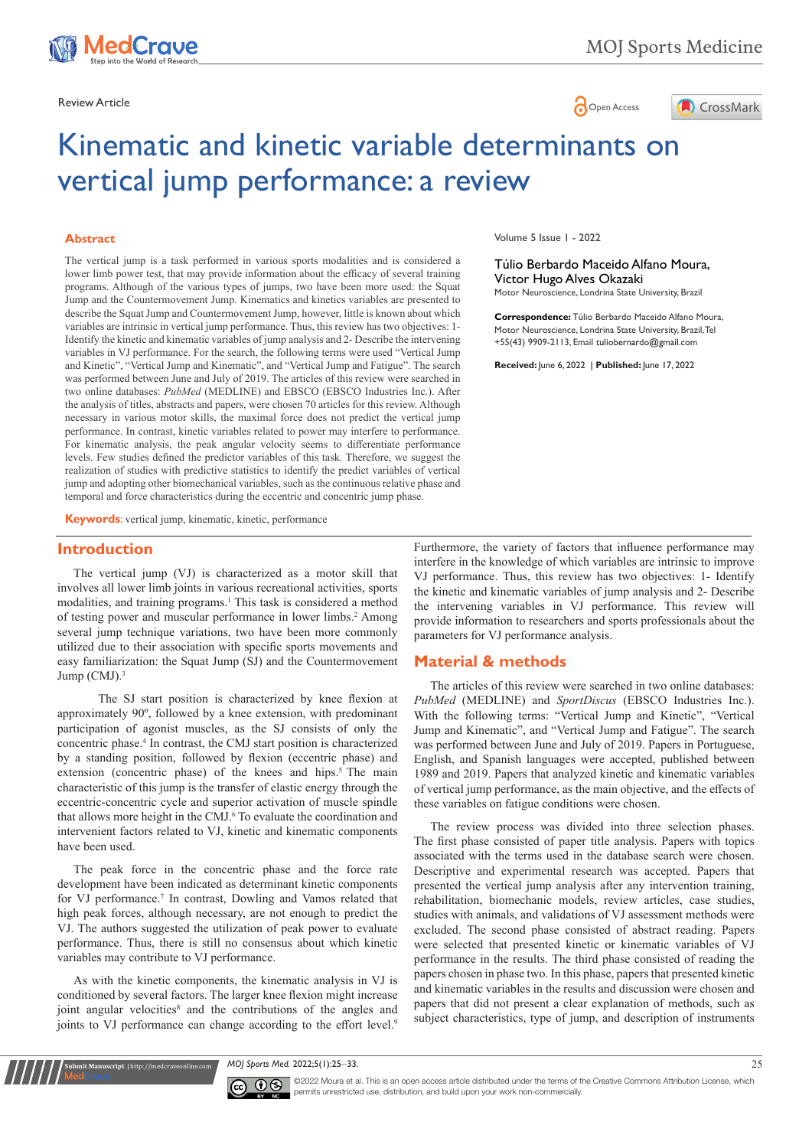



# Kinematic and kinetic variable determinants on vertical jump performance: a review

#### **Abstract**

The vertical jump is a task performed in various sports modalities and is considered a lower limb power test, that may provide information about the efficacy of several training programs. Although of the various types of jumps, two have been more used: the Squat Jump and the Countermovement Jump. Kinematics and kinetics variables are presented to describe the Squat Jump and Countermovement Jump, however, little is known about which variables are intrinsic in vertical jump performance. Thus, this review has two objectives: 1- Identify the kinetic and kinematic variables of jump analysis and 2- Describe the intervening variables in VJ performance. For the search, the following terms were used "Vertical Jump and Kinetic", "Vertical Jump and Kinematic", and "Vertical Jump and Fatigue". The search was performed between June and July of 2019. The articles of this review were searched in two online databases: *PubMed* (MEDLINE) and EBSCO (EBSCO Industries Inc.). After the analysis of titles, abstracts and papers, were chosen 70 articles for this review. Although necessary in various motor skills, the maximal force does not predict the vertical jump performance. In contrast, kinetic variables related to power may interfere to performance. For kinematic analysis, the peak angular velocity seems to differentiate performance levels. Few studies defined the predictor variables of this task. Therefore, we suggest the realization of studies with predictive statistics to identify the predict variables of vertical jump and adopting other biomechanical variables, such as the continuous relative phase and temporal and force characteristics during the eccentric and concentric jump phase.

**Keywords**: vertical jump, kinematic, kinetic, performance

### **Introduction**

The vertical jump (VJ) is characterized as a motor skill that involves all lower limb joints in various recreational activities, sports modalities, and training programs.<sup>1</sup> This task is considered a method of testing power and muscular performance in lower limbs.<sup>2</sup> Among several jump technique variations, two have been more commonly utilized due to their association with specific sports movements and easy familiarization: the Squat Jump (SJ) and the Countermovement Jump (CMJ).3

The SJ start position is characterized by knee flexion at approximately 90º, followed by a knee extension, with predominant participation of agonist muscles, as the SJ consists of only the concentric phase.4 In contrast, the CMJ start position is characterized by a standing position, followed by flexion (eccentric phase) and extension (concentric phase) of the knees and hips.<sup>5</sup> The main characteristic of this jump is the transfer of elastic energy through the eccentric-concentric cycle and superior activation of muscle spindle that allows more height in the CMJ.<sup>6</sup> To evaluate the coordination and intervenient factors related to VJ, kinetic and kinematic components have been used.

The peak force in the concentric phase and the force rate development have been indicated as determinant kinetic components for VJ performance.<sup>7</sup> In contrast, Dowling and Vamos related that high peak forces, although necessary, are not enough to predict the VJ. The authors suggested the utilization of peak power to evaluate performance. Thus, there is still no consensus about which kinetic variables may contribute to VJ performance.

As with the kinetic components, the kinematic analysis in VJ is conditioned by several factors. The larger knee flexion might increase joint angular velocities<sup>8</sup> and the contributions of the angles and joints to VJ performance can change according to the effort level.<sup>9</sup>

**it Manuscript** | http://medcraveonline.c

Volume 5 Issue 1 - 2022

Túlio Berbardo Maceido Alfano Moura, Victor Hugo Alves Okazaki

Motor Neuroscience, Londrina State University, Brazil

**Correspondence:** Túlio Berbardo Maceido Alfano Moura, Motor Neuroscience, Londrina State University, Brazil, Tel +55(43) 9909-2113, Email

**Received:** June 6, 2022 | **Published:** June 17, 2022

Furthermore, the variety of factors that influence performance may interfere in the knowledge of which variables are intrinsic to improve VJ performance. Thus, this review has two objectives: 1- Identify the kinetic and kinematic variables of jump analysis and 2- Describe the intervening variables in VJ performance. This review will provide information to researchers and sports professionals about the parameters for VJ performance analysis.

#### **Material & methods**

The articles of this review were searched in two online databases: *PubMed* (MEDLINE) and *SportDiscus* (EBSCO Industries Inc.). With the following terms: "Vertical Jump and Kinetic", "Vertical Jump and Kinematic", and "Vertical Jump and Fatigue". The search was performed between June and July of 2019. Papers in Portuguese, English, and Spanish languages were accepted, published between 1989 and 2019. Papers that analyzed kinetic and kinematic variables of vertical jump performance, as the main objective, and the effects of these variables on fatigue conditions were chosen.

The review process was divided into three selection phases. The first phase consisted of paper title analysis. Papers with topics associated with the terms used in the database search were chosen. Descriptive and experimental research was accepted. Papers that presented the vertical jump analysis after any intervention training, rehabilitation, biomechanic models, review articles, case studies, studies with animals, and validations of VJ assessment methods were excluded. The second phase consisted of abstract reading. Papers were selected that presented kinetic or kinematic variables of VJ performance in the results. The third phase consisted of reading the papers chosen in phase two. In this phase, papers that presented kinetic and kinematic variables in the results and discussion were chosen and papers that did not present a clear explanation of methods, such as subject characteristics, type of jump, and description of instruments

*MOJ Sports Med.* 2022;5(1):25‒33. 25



©2022 Moura et al. This is an open access article distributed under the terms of the Creative Commons Attribution License, which permits unrestricted use, distribution, and build upon your work non-commercially.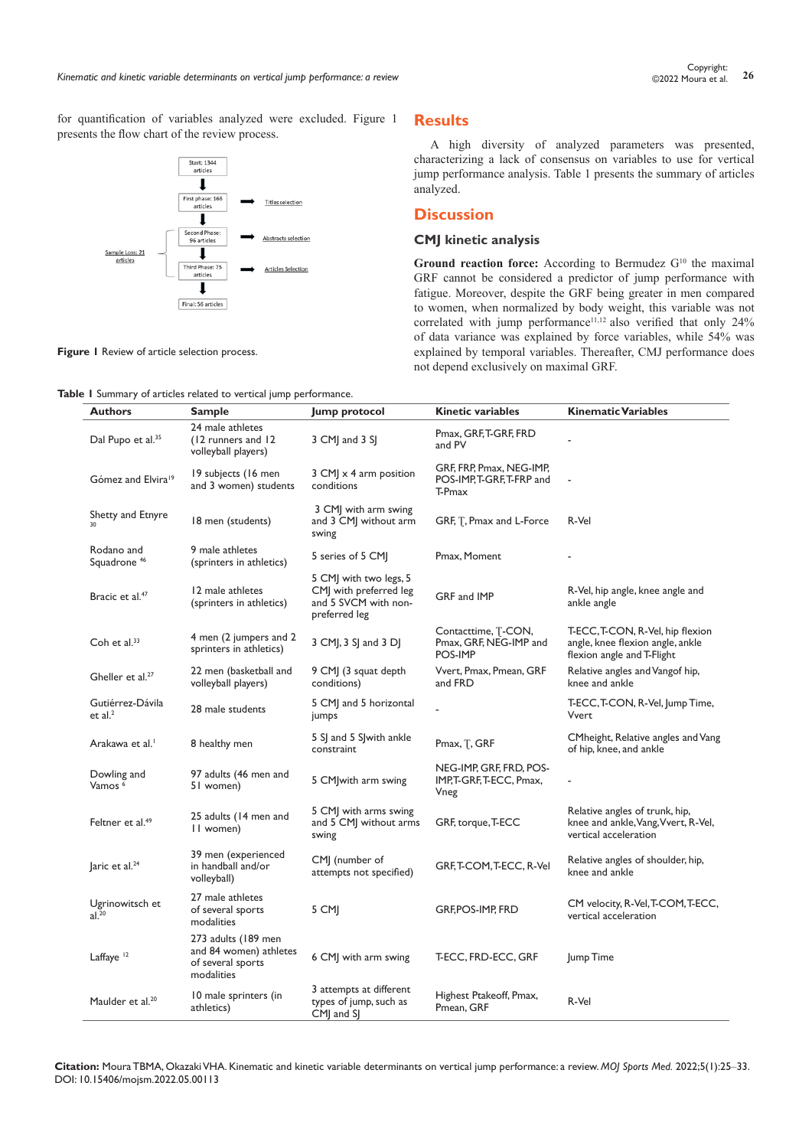for quantification of variables analyzed were excluded. Figure 1 presents the flow chart of the review process.



# **Results**

A high diversity of analyzed parameters was presented, characterizing a lack of consensus on variables to use for vertical jump performance analysis. Table 1 presents the summary of articles analyzed.

## **Discussion**

# **CMJ kinetic analysis**

Ground reaction force: According to Bermudez G<sup>10</sup> the maximal GRF cannot be considered a predictor of jump performance with fatigue. Moreover, despite the GRF being greater in men compared to women, when normalized by body weight, this variable was not correlated with jump performance<sup>11,12</sup> also verified that only 24% of data variance was explained by force variables, while 54% was explained by temporal variables. Thereafter, CMJ performance does not depend exclusively on maximal GRF.

**Figure 1** Review of article selection process.

**Table 1** Summary of articles related to vertical jump performance.

| <b>Authors</b>                        | <b>Sample</b>                                                                    | Jump protocol                                                                             | <b>Kinetic variables</b>                                        | <b>Kinematic Variables</b>                                                                         |
|---------------------------------------|----------------------------------------------------------------------------------|-------------------------------------------------------------------------------------------|-----------------------------------------------------------------|----------------------------------------------------------------------------------------------------|
| Dal Pupo et al. <sup>35</sup>         | 24 male athletes<br>(12 runners and 12)<br>volleyball players)                   | 3 CMJ and 3 SJ                                                                            | Pmax, GRF, T-GRF, FRD<br>and PV                                 |                                                                                                    |
| Gómez and Elvira <sup>19</sup>        | 19 subjects (16 men<br>and 3 women) students                                     | 3 CM x 4 arm position<br>conditions                                                       | GRF, FRP, Pmax, NEG-IMP,<br>POS-IMP, T-GRF, T-FRP and<br>T-Pmax |                                                                                                    |
| Shetty and Etnyre<br>30               | 18 men (students)                                                                | 3 CMJ with arm swing<br>and 3 CMJ without arm<br>swing                                    | GRF, T, Pmax and L-Force                                        | R-Vel                                                                                              |
| Rodano and<br>Squadrone <sup>46</sup> | 9 male athletes<br>(sprinters in athletics)                                      | 5 series of 5 CMJ                                                                         | Pmax, Moment                                                    |                                                                                                    |
| Bracic et al. <sup>47</sup>           | 12 male athletes<br>(sprinters in athletics)                                     | 5 CMJ with two legs, 5<br>CMJ with preferred leg<br>and 5 SVCM with non-<br>preferred leg | GRF and IMP                                                     | R-Vel, hip angle, knee angle and<br>ankle angle                                                    |
| Coh et al. <sup>33</sup>              | 4 men (2 jumpers and 2<br>sprinters in athletics)                                | 3 CM , 3 S  and 3 D                                                                       | Contacttime, T-CON,<br>Pmax, GRF, NEG-IMP and<br>POS-IMP        | T-ECC, T-CON, R-Vel, hip flexion<br>angle, knee flexion angle, ankle<br>flexion angle and T-Flight |
| Gheller et al. <sup>27</sup>          | 22 men (basketball and<br>volleyball players)                                    | 9 CMJ (3 squat depth<br>conditions)                                                       | Vvert, Pmax, Pmean, GRF<br>and FRD                              | Relative angles and Vangof hip,<br>knee and ankle                                                  |
| Gutiérrez-Dávila<br>et al. $2$        | 28 male students                                                                 | 5 CMJ and 5 horizontal<br>jumps                                                           |                                                                 | T-ECC, T-CON, R-Vel, Jump Time,<br>Vvert                                                           |
| Arakawa et al. <sup>1</sup>           | 8 healthy men                                                                    | 5 SJ and 5 SJ with ankle<br>constraint                                                    | Pmax, T, GRF                                                    | CMheight, Relative angles and Vang<br>of hip, knee, and ankle                                      |
| Dowling and<br>Vamos <sup>6</sup>     | 97 adults (46 men and<br>51 women)                                               | 5 CM with arm swing                                                                       | NEG-IMP, GRF, FRD, POS-<br>IMP, T-GRF, T-ECC, Pmax,<br>Vneg     |                                                                                                    |
| Feltner et al. <sup>49</sup>          | 25 adults (14 men and<br>II women)                                               | 5 CMJ with arms swing<br>and 5 CMJ without arms<br>swing                                  | GRF, torque, T-ECC                                              | Relative angles of trunk, hip,<br>knee and ankle, Vang, Vvert, R-Vel,<br>vertical acceleration     |
| laric et al. <sup>24</sup>            | 39 men (experienced<br>in handball and/or<br>volleyball)                         | CMJ (number of<br>attempts not specified)                                                 | GRF, T-COM, T-ECC, R-Vel                                        | Relative angles of shoulder, hip,<br>knee and ankle                                                |
| Ugrinowitsch et<br>al. <sup>20</sup>  | 27 male athletes<br>of several sports<br>modalities                              | 5 CMJ                                                                                     | <b>GRF, POS-IMP, FRD</b>                                        | CM velocity, R-Vel, T-COM, T-ECC,<br>vertical acceleration                                         |
| Laffaye <sup>12</sup>                 | 273 adults (189 men<br>and 84 women) athletes<br>of several sports<br>modalities | 6 CMJ with arm swing                                                                      | T-ECC, FRD-ECC, GRF                                             | Jump Time                                                                                          |
| Maulder et al. <sup>20</sup>          | 10 male sprinters (in<br>athletics)                                              | 3 attempts at different<br>types of jump, such as<br>CMI and SI                           | Highest Ptakeoff, Pmax,<br>Pmean, GRF                           | R-Vel                                                                                              |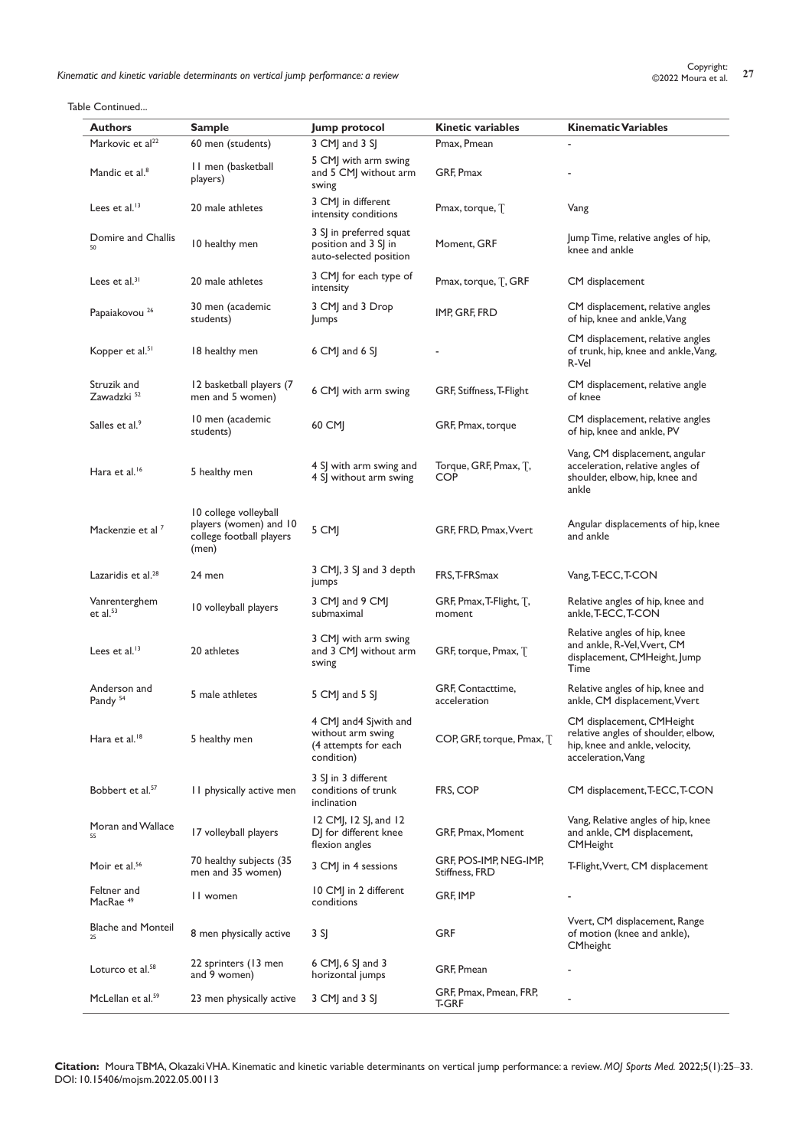Lopyright:<br>**Kinematic and kinetic variable determinants on vertical jump performance: a review 27 27 27** Copyright:

Table Continued...

| Authors                               | <b>Sample</b>                                                                        | Jump protocol                                                                     | <b>Kinetic variables</b>                 | <b>Kinematic Variables</b>                                                                                               |
|---------------------------------------|--------------------------------------------------------------------------------------|-----------------------------------------------------------------------------------|------------------------------------------|--------------------------------------------------------------------------------------------------------------------------|
| Markovic et al <sup>22</sup>          | 60 men (students)                                                                    | 3 CMJ and 3 SJ                                                                    | Pmax, Pmean                              |                                                                                                                          |
| Mandic et al. <sup>8</sup>            | 11 men (basketball<br>players)                                                       | 5 CMJ with arm swing<br>and 5 CMJ without arm<br>swing                            | GRF, Pmax                                |                                                                                                                          |
| Lees et al. $13$                      | 20 male athletes                                                                     | 3 CMJ in different<br>intensity conditions                                        | Pmax, torque, T                          | Vang                                                                                                                     |
| Domire and Challis                    | 10 healthy men                                                                       | 3 SJ in preferred squat<br>position and 3 SJ in<br>auto-selected position         | Moment, GRF                              | Jump Time, relative angles of hip,<br>knee and ankle                                                                     |
| Lees et $al^{31}$                     | 20 male athletes                                                                     | 3 CMJ for each type of<br>intensity                                               | Pmax, torque, T, GRF                     | CM displacement                                                                                                          |
| Papaiakovou <sup>26</sup>             | 30 men (academic<br>students)                                                        | 3 CMJ and 3 Drop<br>Jumps                                                         | IMP, GRF, FRD                            | CM displacement, relative angles<br>of hip, knee and ankle, Vang                                                         |
| Kopper et al. <sup>51</sup>           | 18 healthy men                                                                       | $6$ CMJ and $6$ SJ                                                                |                                          | CM displacement, relative angles<br>of trunk, hip, knee and ankle, Vang,<br>R-Vel                                        |
| Struzik and<br>Zawadzki <sup>52</sup> | 12 basketball players (7<br>men and 5 women)                                         | 6 CMJ with arm swing                                                              | GRF, Stiffness, T-Flight                 | CM displacement, relative angle<br>of knee                                                                               |
| Salles et al. <sup>9</sup>            | 10 men (academic<br>students)                                                        | 60 CM                                                                             | GRF, Pmax, torque                        | CM displacement, relative angles<br>of hip, knee and ankle, PV                                                           |
| Hara et al. <sup>16</sup>             | 5 healthy men                                                                        | 4 SJ with arm swing and<br>4 SJ without arm swing                                 | Torque, GRF, Pmax, T,<br><b>COP</b>      | Vang, CM displacement, angular<br>acceleration, relative angles of<br>shoulder, elbow, hip, knee and<br>ankle            |
| Mackenzie et al 7                     | 10 college volleyball<br>players (women) and 10<br>college football players<br>(men) | 5 CMJ                                                                             | GRF, FRD, Pmax, Vvert                    | Angular displacements of hip, knee<br>and ankle                                                                          |
| Lazaridis et al. <sup>28</sup>        | 24 men                                                                               | 3 CMJ, 3 SJ and 3 depth<br>jumps                                                  | FRS, T-FRSmax                            | Vang, T-ECC, T-CON                                                                                                       |
| Vanrenterghem<br>et al. $53$          | 10 volleyball players                                                                | 3 CMJ and 9 CMJ<br>submaximal                                                     | GRF, Pmax, T-Flight, T,<br>moment        | Relative angles of hip, knee and<br>ankle, T-ECC, T-CON                                                                  |
| Lees et al. $13$                      | 20 athletes                                                                          | 3 CMJ with arm swing<br>and 3 CMJ without arm<br>swing                            | GRF, torque, Pmax, T                     | Relative angles of hip, knee<br>and ankle, R-Vel, Vvert, CM<br>displacement, CMHeight, Jump<br>Time                      |
| Anderson and<br>Pandy <sup>54</sup>   | 5 male athletes                                                                      | 5 CMJ and 5 SJ                                                                    | GRF, Contacttime,<br>acceleration        | Relative angles of hip, knee and<br>ankle, CM displacement, Vvert                                                        |
| Hara et al. <sup>18</sup>             | 5 healthy men                                                                        | 4 CMJ and 4 Sjwith and<br>without arm swing<br>(4 attempts for each<br>condition) | COP, GRF, torque, Pmax, T                | CM displacement, CMHeight<br>relative angles of shoulder, elbow,<br>hip, knee and ankle, velocity,<br>acceleration, Vang |
| Bobbert et al. <sup>57</sup>          | 11 physically active men                                                             | 3 SJ in 3 different<br>conditions of trunk<br>inclination                         | FRS, COP                                 | CM displacement, T-ECC, T-CON                                                                                            |
| Moran and Wallace<br>55               | 17 volleyball players                                                                | 12 CMJ, 12 SJ, and 12<br>DJ for different knee<br>flexion angles                  | GRF, Pmax, Moment                        | Vang, Relative angles of hip, knee<br>and ankle, CM displacement,<br><b>CMHeight</b>                                     |
| Moir et al. <sup>56</sup>             | 70 healthy subjects (35<br>men and 35 women)                                         | 3 CMJ in 4 sessions                                                               | GRF, POS-IMP, NEG-IMP,<br>Stiffness, FRD | T-Flight, Vvert, CM displacement                                                                                         |
| Feltner and<br>MacRae <sup>49</sup>   | 11 women                                                                             | 10 CMJ in 2 different<br>conditions                                               | GRF, IMP                                 |                                                                                                                          |
| <b>Blache and Monteil</b><br>25       | 8 men physically active                                                              | 3 SJ                                                                              | <b>GRF</b>                               | Vvert, CM displacement, Range<br>of motion (knee and ankle),<br><b>CMheight</b>                                          |
| Loturco et al. <sup>58</sup>          | 22 sprinters (13 men<br>and 9 women)                                                 | $6$ CMJ, $6$ SJ and 3<br>horizontal jumps                                         | GRF, Pmean                               |                                                                                                                          |
| McLellan et al. <sup>59</sup>         | 23 men physically active                                                             | 3 CMJ and 3 SJ                                                                    | GRF, Pmax, Pmean, FRP,<br>T-GRF          |                                                                                                                          |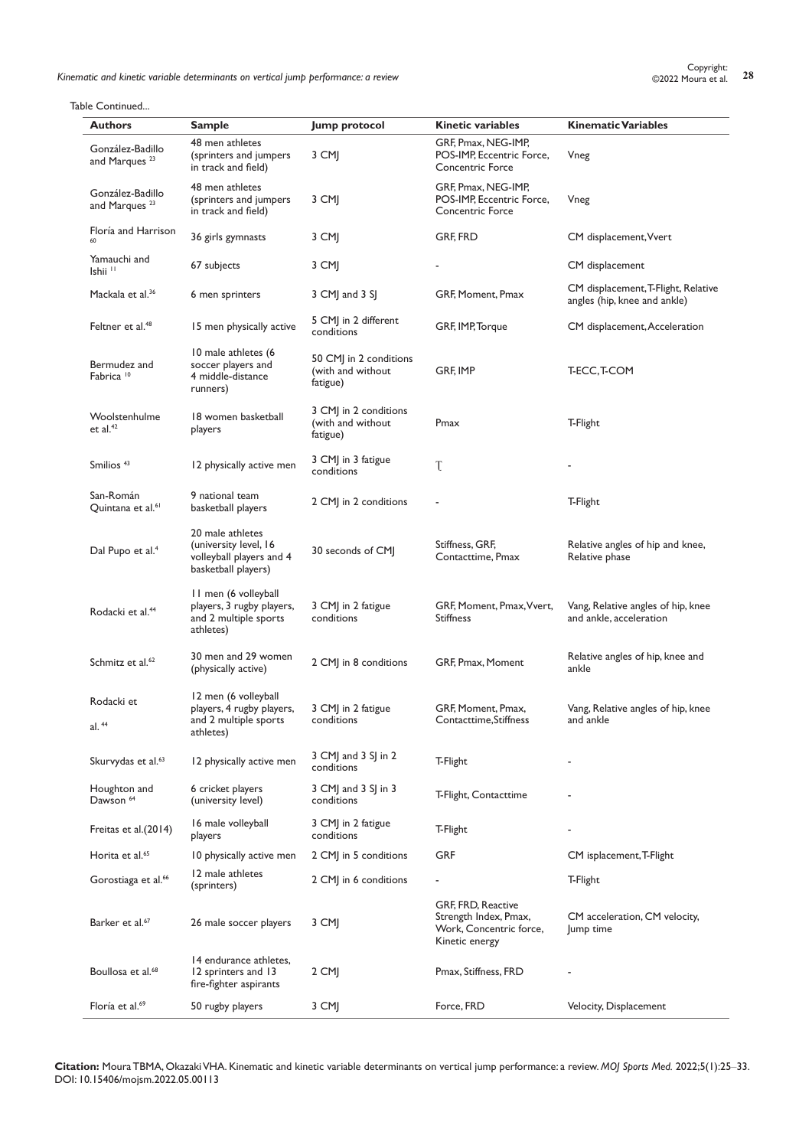Kinematic and kinetic variable determinants on vertical jump performance: a review **2000** Copyright: **28** Copyright: **28** Copyright: **28** Copyright: **28** Copyright: **28** Copyright: **28** Copyright: **28** Copyright: **28** Copy

| <b>Authors</b>                                | Sample                                                                                       | Jump protocol                                           | Kinetic variables                                                                        | <b>Kinematic Variables</b>                                          |
|-----------------------------------------------|----------------------------------------------------------------------------------------------|---------------------------------------------------------|------------------------------------------------------------------------------------------|---------------------------------------------------------------------|
| González-Badillo<br>and Marques <sup>23</sup> | 48 men athletes<br>(sprinters and jumpers<br>in track and field)                             | 3 CMJ                                                   | GRF, Pmax, NEG-IMP,<br>POS-IMP, Eccentric Force,<br><b>Concentric Force</b>              | Vneg                                                                |
| González-Badillo<br>and Marques <sup>23</sup> | 48 men athletes<br>(sprinters and jumpers<br>in track and field)                             | 3 CMI                                                   | GRF, Pmax, NEG-IMP,<br>POS-IMP, Eccentric Force,<br><b>Concentric Force</b>              | Vneg                                                                |
| Floría and Harrison                           | 36 girls gymnasts                                                                            | 3 CMJ                                                   | GRF, FRD                                                                                 | CM displacement, Vvert                                              |
| Yamauchi and<br>Ishii <sup>11</sup>           | 67 subjects                                                                                  | 3 CMJ                                                   |                                                                                          | CM displacement                                                     |
| Mackala et al. <sup>36</sup>                  | 6 men sprinters                                                                              | 3 CM and 3 S                                            | GRF, Moment, Pmax                                                                        | CM displacement, T-Flight, Relative<br>angles (hip, knee and ankle) |
| Feltner et al. <sup>48</sup>                  | 15 men physically active                                                                     | 5 CMJ in 2 different<br>conditions                      | GRF, IMP, Torque                                                                         | CM displacement, Acceleration                                       |
| Bermudez and<br>Fabrica <sup>10</sup>         | 10 male athletes (6<br>soccer players and<br>4 middle-distance<br>runners)                   | 50 CMJ in 2 conditions<br>(with and without<br>fatigue) | GRF, IMP                                                                                 | T-ECC, T-COM                                                        |
| Woolstenhulme<br>et al. $42$                  | 18 women basketball<br>players                                                               | 3 CMJ in 2 conditions<br>(with and without<br>fatigue)  | Pmax                                                                                     | T-Flight                                                            |
| Smilios <sup>43</sup>                         | 12 physically active men                                                                     | 3 CMJ in 3 fatigue<br>conditions                        | T                                                                                        |                                                                     |
| San-Román<br>Quintana et al. <sup>61</sup>    | 9 national team<br>basketball players                                                        | 2 CMJ in 2 conditions                                   |                                                                                          | T-Flight                                                            |
| Dal Pupo et al. <sup>4</sup>                  | 20 male athletes<br>(university level, 16<br>volleyball players and 4<br>basketball players) | 30 seconds of CMJ                                       | Stiffness, GRF,<br>Contacttime, Pmax                                                     | Relative angles of hip and knee,<br>Relative phase                  |
| Rodacki et al. <sup>44</sup>                  | 11 men (6 volleyball<br>players, 3 rugby players,<br>and 2 multiple sports<br>athletes)      | 3 CM in 2 fatigue<br>conditions                         | GRF, Moment, Pmax, Vvert,<br><b>Stiffness</b>                                            | Vang, Relative angles of hip, knee<br>and ankle, acceleration       |
| Schmitz et al. <sup>62</sup>                  | 30 men and 29 women<br>(physically active)                                                   | 2 CM in 8 conditions                                    | GRF, Pmax, Moment                                                                        | Relative angles of hip, knee and<br>ankle                           |
| Rodacki et<br>al. 44                          | 12 men (6 volleyball<br>players, 4 rugby players,<br>and 2 multiple sports<br>athletes)      | 3 CM in 2 fatigue<br>conditions                         | GRF, Moment, Pmax,<br>Contacttime, Stiffness                                             | Vang, Relative angles of hip, knee<br>and ankle                     |
| Skurvydas et al. <sup>63</sup>                | 12 physically active men                                                                     | 3 CMJ and 3 SJ in 2<br>conditions                       | T-Flight                                                                                 |                                                                     |
| Houghton and<br>Dawson <sup>64</sup>          | 6 cricket players<br>(university level)                                                      | 3 CMJ and 3 SJ in 3<br>conditions                       | T-Flight, Contacttime                                                                    |                                                                     |
| Freitas et al.(2014)                          | 16 male volleyball<br>players                                                                | 3 CMJ in 2 fatigue<br>conditions                        | T-Flight                                                                                 |                                                                     |
| Horita et al. <sup>65</sup>                   | 10 physically active men                                                                     | 2 CMJ in 5 conditions                                   | <b>GRF</b>                                                                               | CM isplacement, T-Flight                                            |
| Gorostiaga et al. <sup>66</sup>               | 12 male athletes<br>(sprinters)                                                              | 2 CMJ in 6 conditions                                   |                                                                                          | T-Flight                                                            |
| Barker et al. <sup>67</sup>                   | 26 male soccer players                                                                       | 3 CMJ                                                   | GRF, FRD, Reactive<br>Strength Index, Pmax,<br>Work, Concentric force,<br>Kinetic energy | CM acceleration, CM velocity,<br>Jump time                          |
| Boullosa et al. <sup>68</sup>                 | 14 endurance athletes,<br>12 sprinters and 13<br>fire-fighter aspirants                      | 2 CMJ                                                   | Pmax, Stiffness, FRD                                                                     |                                                                     |
| Floría et al. <sup>69</sup>                   | 50 rugby players                                                                             | 3 CMJ                                                   | Force, FRD                                                                               | Velocity, Displacement                                              |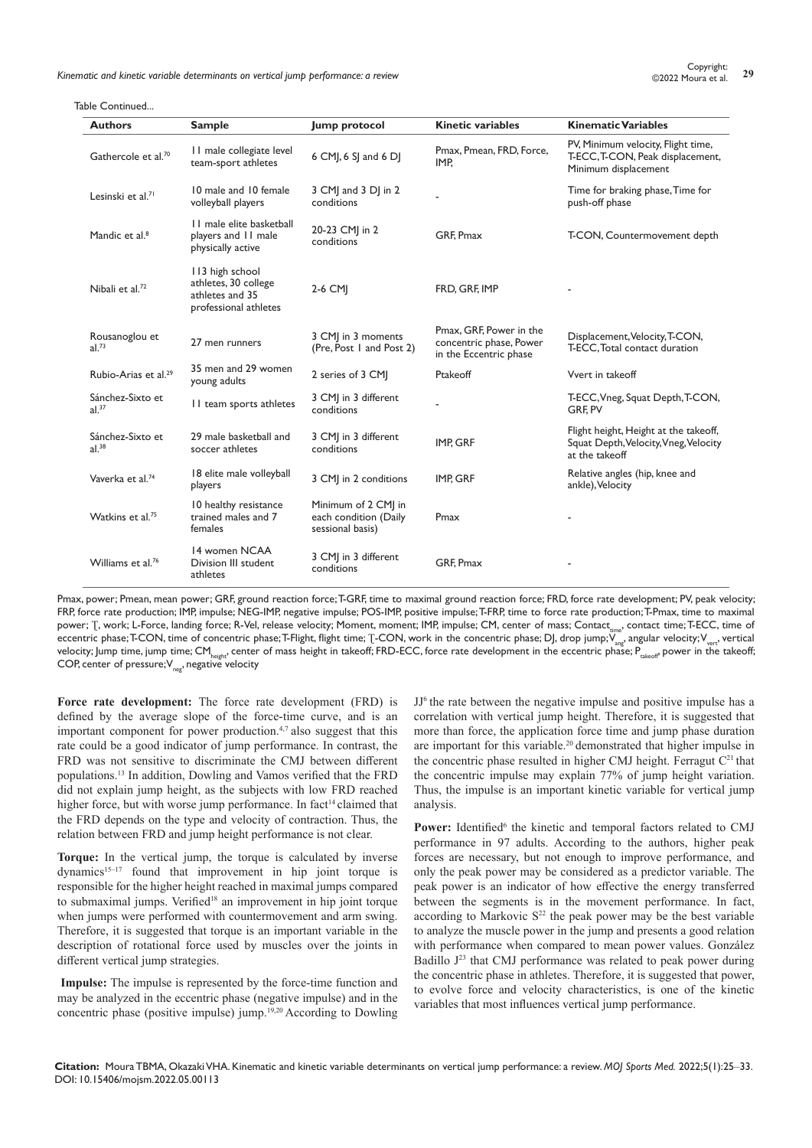Kinematic and kinetic variable determinants on vertical jump performance: a review **29** Copyright: 29 Copyright: 29<br> **Kinematic and kinetic variable determinants on vertical jump performance: a review 29 Copyright: 29 Co** 

| Copyright:         |  |  |
|--------------------|--|--|
| ©2022 Moura et al. |  |  |

| <b>Authors</b>                      | <b>Sample</b>                                                                       | Jump protocol                                                    | <b>Kinetic variables</b>                                                     | <b>Kinematic Variables</b>                                                                       |
|-------------------------------------|-------------------------------------------------------------------------------------|------------------------------------------------------------------|------------------------------------------------------------------------------|--------------------------------------------------------------------------------------------------|
| Gathercole et al.70                 | II male collegiate level<br>team-sport athletes                                     | 6 CM, 6 SJ and 6 DJ                                              | Pmax, Pmean, FRD, Force,<br>IMP.                                             | PV, Minimum velocity, Flight time,<br>T-ECC, T-CON, Peak displacement,<br>Minimum displacement   |
| Lesinski et al. <sup>71</sup>       | 10 male and 10 female<br>volleyball players                                         | 3 CM and 3 D in 2<br>conditions                                  |                                                                              | Time for braking phase, Time for<br>push-off phase                                               |
| Mandic et al. <sup>8</sup>          | 11 male elite basketball<br>players and 11 male<br>physically active                | 20-23 CMJ in 2<br>conditions                                     | GRF, Pmax                                                                    | T-CON, Countermovement depth                                                                     |
| Nibali et al. <sup>72</sup>         | 113 high school<br>athletes, 30 college<br>athletes and 35<br>professional athletes | 2-6 CMI                                                          | FRD. GRF. IMP                                                                |                                                                                                  |
| Rousanoglou et<br>al. <sup>73</sup> | 27 men runners                                                                      | 3 CMJ in 3 moments<br>(Pre, Post 1 and Post 2)                   | Pmax, GRF, Power in the<br>concentric phase, Power<br>in the Eccentric phase | Displacement, Velocity, T-CON,<br>T-ECC, Total contact duration                                  |
| Rubio-Arias et al. <sup>29</sup>    | 35 men and 29 women<br>young adults                                                 | 2 series of 3 CMI                                                | Ptakeoff                                                                     | Vvert in takeoff                                                                                 |
| Sánchez-Sixto et<br>al.37           | II team sports athletes                                                             | 3 CMJ in 3 different<br>conditions                               |                                                                              | T-ECC, Vneg, Squat Depth, T-CON,<br><b>GRF.PV</b>                                                |
| Sánchez-Sixto et<br>$al.^{38}$      | 29 male basketball and<br>soccer athletes                                           | 3 CMJ in 3 different<br>conditions                               | IMP, GRF                                                                     | Flight height, Height at the takeoff,<br>Squat Depth, Velocity, Vneg, Velocity<br>at the takeoff |
| Vaverka et al. <sup>74</sup>        | 18 elite male volleyball<br>players                                                 | 3 CMJ in 2 conditions                                            | IMP. GRF                                                                     | Relative angles (hip, knee and<br>ankle), Velocity                                               |
| Watkins et al. <sup>75</sup>        | 10 healthy resistance<br>trained males and 7<br>females                             | Minimum of 2 CMI in<br>each condition (Daily<br>sessional basis) | Pmax                                                                         |                                                                                                  |
| Williams et al. <sup>76</sup>       | 14 women NCAA<br>Division III student<br>athletes                                   | 3 CMJ in 3 different<br>conditions                               | <b>GRF. Pmax</b>                                                             |                                                                                                  |

Pmax, power; Pmean, mean power; GRF, ground reaction force; T-GRF, time to maximal ground reaction force; FRD, force rate development; PV, peak velocity; FRP, force rate production; IMP, impulse; NEG-IMP, negative impulse; POS-IMP, positive impulse; T-FRP, time to force rate production; T-Pmax, time to maximal power; T, work; L-Force, landing force; R-Vel, release velocity; Moment, moment; IMP, impulse; CM, center of mass; Contact cime, contact time; T-ECC, time of eccentric phase; T-CON, time of concentric phase; T-Flight, flight time; T-CON, work in the concentric phase; DJ, drop jump;  $\overline{V}_{\text{ane}}$ , angular velocity; V<sub>vert</sub>, vertical velocity; Jump time, jump time; CM<sub>height</sub>, center of mass height in takeoff; FRD-ECC, force rate development in the eccentric phase;  $P_{\text{rakeoff}}$  power in the takeoff; COP, center of pressure; $V_{\text{net}}$  negative velocity

**Force rate development:** The force rate development (FRD) is defined by the average slope of the force-time curve, and is an important component for power production.4,7 also suggest that this rate could be a good indicator of jump performance. In contrast, the FRD was not sensitive to discriminate the CMJ between different populations.13 In addition, Dowling and Vamos verified that the FRD did not explain jump height, as the subjects with low FRD reached higher force, but with worse jump performance. In fact<sup>14</sup> claimed that the FRD depends on the type and velocity of contraction. Thus, the relation between FRD and jump height performance is not clear.

**Torque:** In the vertical jump, the torque is calculated by inverse dynamics<sup>15-17</sup> found that improvement in hip joint torque is responsible for the higher height reached in maximal jumps compared to submaximal jumps. Verified<sup>18</sup> an improvement in hip joint torque when jumps were performed with countermovement and arm swing. Therefore, it is suggested that torque is an important variable in the description of rotational force used by muscles over the joints in different vertical jump strategies.

**Impulse:** The impulse is represented by the force-time function and may be analyzed in the eccentric phase (negative impulse) and in the concentric phase (positive impulse) jump.<sup>19,20</sup> According to Dowling JJ6 the rate between the negative impulse and positive impulse has a correlation with vertical jump height. Therefore, it is suggested that more than force, the application force time and jump phase duration are important for this variable.<sup>20</sup> demonstrated that higher impulse in the concentric phase resulted in higher CMJ height. Ferragut  $C<sup>21</sup>$  that the concentric impulse may explain 77% of jump height variation. Thus, the impulse is an important kinetic variable for vertical jump analysis.

Power: Identified<sup>6</sup> the kinetic and temporal factors related to CMJ performance in 97 adults. According to the authors, higher peak forces are necessary, but not enough to improve performance, and only the peak power may be considered as a predictor variable. The peak power is an indicator of how effective the energy transferred between the segments is in the movement performance. In fact, according to Markovic  $S^{22}$  the peak power may be the best variable to analyze the muscle power in the jump and presents a good relation with performance when compared to mean power values. González Badillo  $J^{23}$  that CMJ performance was related to peak power during the concentric phase in athletes. Therefore, it is suggested that power, to evolve force and velocity characteristics, is one of the kinetic variables that most influences vertical jump performance.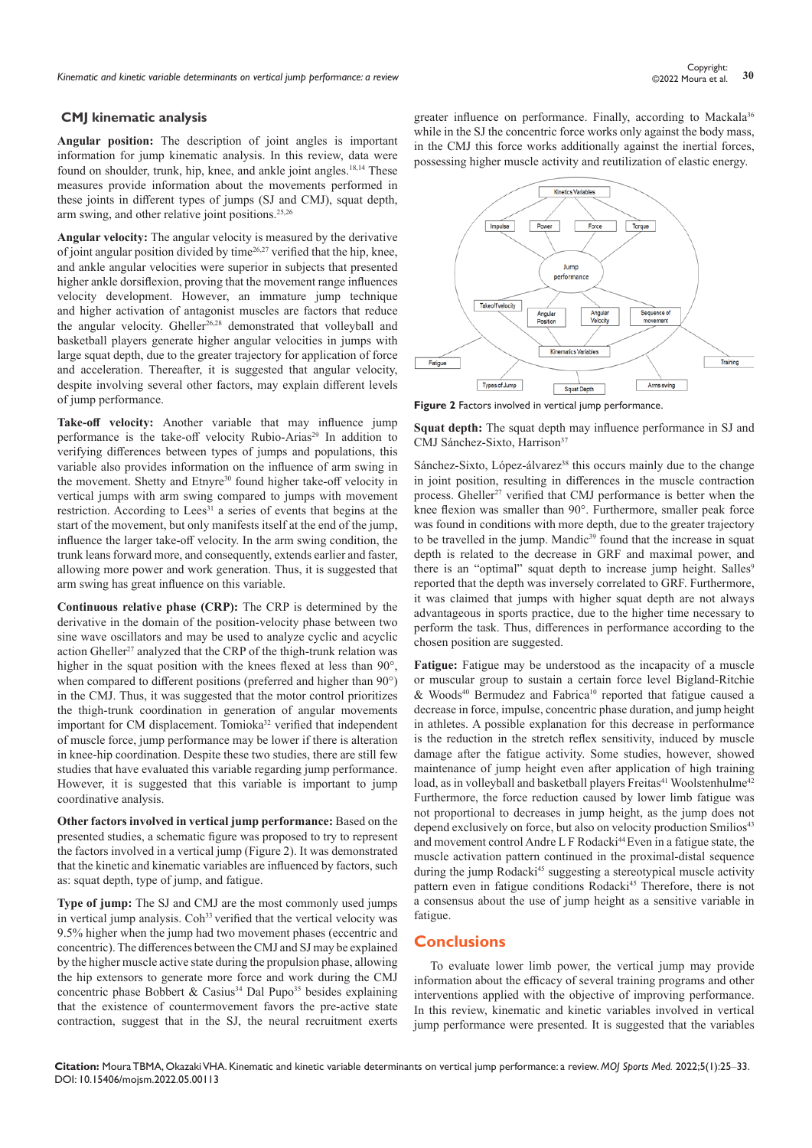#### **CMJ kinematic analysis**

**Angular position:** The description of joint angles is important information for jump kinematic analysis. In this review, data were found on shoulder, trunk, hip, knee, and ankle joint angles.<sup>18,14</sup> These measures provide information about the movements performed in these joints in different types of jumps (SJ and CMJ), squat depth, arm swing, and other relative joint positions.<sup>25,26</sup>

**Angular velocity:** The angular velocity is measured by the derivative of joint angular position divided by time26,27 verified that the hip, knee, and ankle angular velocities were superior in subjects that presented higher ankle dorsiflexion, proving that the movement range influences velocity development. However, an immature jump technique and higher activation of antagonist muscles are factors that reduce the angular velocity. Gheller<sup>26,28</sup> demonstrated that volleyball and basketball players generate higher angular velocities in jumps with large squat depth, due to the greater trajectory for application of force and acceleration. Thereafter, it is suggested that angular velocity, despite involving several other factors, may explain different levels of jump performance.

**Take-off velocity:** Another variable that may influence jump performance is the take-off velocity Rubio-Arias<sup>29</sup> In addition to verifying differences between types of jumps and populations, this variable also provides information on the influence of arm swing in the movement. Shetty and Etnyre<sup>30</sup> found higher take-off velocity in vertical jumps with arm swing compared to jumps with movement restriction. According to Lees<sup>31</sup> a series of events that begins at the start of the movement, but only manifests itself at the end of the jump, influence the larger take-off velocity. In the arm swing condition, the trunk leans forward more, and consequently, extends earlier and faster, allowing more power and work generation. Thus, it is suggested that arm swing has great influence on this variable.

**Continuous relative phase (CRP):** The CRP is determined by the derivative in the domain of the position-velocity phase between two sine wave oscillators and may be used to analyze cyclic and acyclic action Gheller<sup>27</sup> analyzed that the CRP of the thigh-trunk relation was higher in the squat position with the knees flexed at less than 90°, when compared to different positions (preferred and higher than  $90^{\circ}$ ) in the CMJ. Thus, it was suggested that the motor control prioritizes the thigh-trunk coordination in generation of angular movements important for CM displacement. Tomioka<sup>32</sup> verified that independent of muscle force, jump performance may be lower if there is alteration in knee-hip coordination. Despite these two studies, there are still few studies that have evaluated this variable regarding jump performance. However, it is suggested that this variable is important to jump coordinative analysis.

**Other factors involved in vertical jump performance:** Based on the presented studies, a schematic figure was proposed to try to represent the factors involved in a vertical jump (Figure 2). It was demonstrated that the kinetic and kinematic variables are influenced by factors, such as: squat depth, type of jump, and fatigue.

**Type of jump:** The SJ and CMJ are the most commonly used jumps in vertical jump analysis. Coh<sup>33</sup> verified that the vertical velocity was 9.5% higher when the jump had two movement phases (eccentric and concentric). The differences between the CMJ and SJ may be explained by the higher muscle active state during the propulsion phase, allowing the hip extensors to generate more force and work during the CMJ concentric phase Bobbert & Casius<sup>34</sup> Dal Pupo<sup>35</sup> besides explaining that the existence of countermovement favors the pre-active state contraction, suggest that in the SJ, the neural recruitment exerts

greater influence on performance. Finally, according to Mackala<sup>36</sup> while in the SJ the concentric force works only against the body mass, in the CMJ this force works additionally against the inertial forces, possessing higher muscle activity and reutilization of elastic energy.



**Figure 2** Factors involved in vertical jump performance.

**Squat depth:** The squat depth may influence performance in SJ and CMJ Sánchez-Sixto, Harrison<sup>37</sup>

Sánchez-Sixto, López-álvarez<sup>38</sup> this occurs mainly due to the change in joint position, resulting in differences in the muscle contraction process. Gheller<sup>27</sup> verified that CMJ performance is better when the knee flexion was smaller than 90°. Furthermore, smaller peak force was found in conditions with more depth, due to the greater trajectory to be travelled in the jump. Mandic<sup>39</sup> found that the increase in squat depth is related to the decrease in GRF and maximal power, and there is an "optimal" squat depth to increase jump height. Salles<sup>9</sup> reported that the depth was inversely correlated to GRF. Furthermore, it was claimed that jumps with higher squat depth are not always advantageous in sports practice, due to the higher time necessary to perform the task. Thus, differences in performance according to the chosen position are suggested.

**Fatigue:** Fatigue may be understood as the incapacity of a muscle or muscular group to sustain a certain force level Bigland-Ritchie  $& Woods^{40}$  Bermudez and Fabrica<sup>10</sup> reported that fatigue caused a decrease in force, impulse, concentric phase duration, and jump height in athletes. A possible explanation for this decrease in performance is the reduction in the stretch reflex sensitivity, induced by muscle damage after the fatigue activity. Some studies, however, showed maintenance of jump height even after application of high training load, as in volleyball and basketball players Freitas<sup>41</sup> Woolstenhulme<sup>42</sup> Furthermore, the force reduction caused by lower limb fatigue was not proportional to decreases in jump height, as the jump does not depend exclusively on force, but also on velocity production Smilios<sup>43</sup> and movement control Andre L F Rodacki<sup>44</sup> Even in a fatigue state, the muscle activation pattern continued in the proximal-distal sequence during the jump Rodacki<sup>45</sup> suggesting a stereotypical muscle activity pattern even in fatigue conditions Rodacki<sup>45</sup> Therefore, there is not a consensus about the use of jump height as a sensitive variable in fatigue.

# **Conclusions**

To evaluate lower limb power, the vertical jump may provide information about the efficacy of several training programs and other interventions applied with the objective of improving performance. In this review, kinematic and kinetic variables involved in vertical jump performance were presented. It is suggested that the variables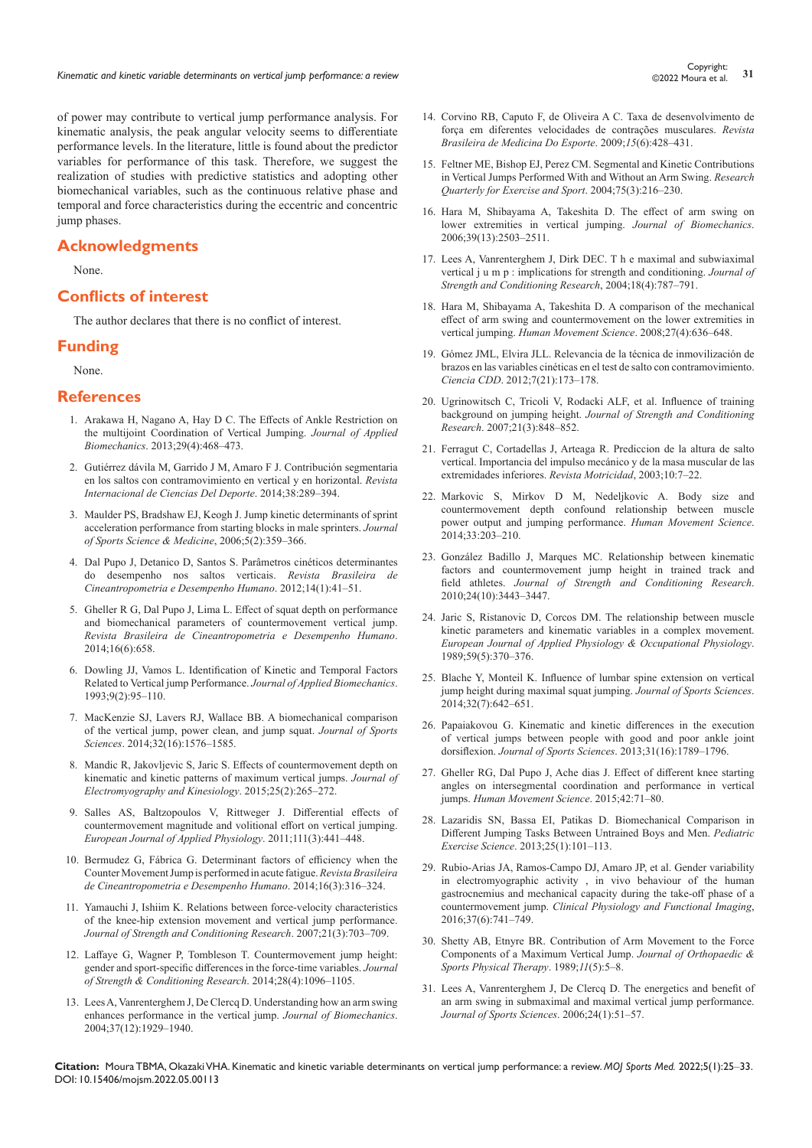Experight:<br><sup>21</sup> Kinematic and kinetic variable determinants on vertical jump performance: a review **31** Copyright: 31

of power may contribute to vertical jump performance analysis. For kinematic analysis, the peak angular velocity seems to differentiate performance levels. In the literature, little is found about the predictor variables for performance of this task. Therefore, we suggest the realization of studies with predictive statistics and adopting other biomechanical variables, such as the continuous relative phase and temporal and force characteristics during the eccentric and concentric jump phases.

# **Acknowledgments**

None.

# **Conflicts of interest**

The author declares that there is no conflict of interest.

#### **Funding**

None.

#### **References**

- 1. [Arakawa H, Nagano A, Hay D C. The Effects of Ankle Restriction on](https://pubmed.ncbi.nlm.nih.gov/23182763/)  [the multijoint Coordination of Vertical Jumping.](https://pubmed.ncbi.nlm.nih.gov/23182763/) *Journal of Applied Biomechanics*[. 2013;29\(4\):468–473.](https://pubmed.ncbi.nlm.nih.gov/23182763/)
- 2. [Gutiérrez dávila M, Garrido J M, Amaro F J.](https://www.redalyc.org/pdf/710/71032223002.pdf) Contribución segmentaria [en los saltos con contramovimiento en vertical y en horizontal.](https://www.redalyc.org/pdf/710/71032223002.pdf) *Revista [Internacional de Ciencias Del Deporte](https://www.redalyc.org/pdf/710/71032223002.pdf)*. 2014;38:289–394.
- 3. [Maulder PS, Bradshaw EJ, Keogh J. Jump kinetic determinants of sprint](https://www.ncbi.nlm.nih.gov/pmc/articles/PMC3827579/)  [acceleration performance from starting blocks in male sprinters.](https://www.ncbi.nlm.nih.gov/pmc/articles/PMC3827579/) *Journal [of Sports Science & Medicine](https://www.ncbi.nlm.nih.gov/pmc/articles/PMC3827579/)*, 2006;5(2):359–366.
- 4. [Dal Pupo J, Detanico D, Santos S. Parâmetros cinéticos determinantes](https://www.scielo.br/j/rbcdh/a/QHsKwRhYvBzTZnLQ4t3vJDz/?lang=en)  [do desempenho nos saltos verticais.](https://www.scielo.br/j/rbcdh/a/QHsKwRhYvBzTZnLQ4t3vJDz/?lang=en) *Revista Brasileira de [Cineantropometria e Desempenho Humano](https://www.scielo.br/j/rbcdh/a/QHsKwRhYvBzTZnLQ4t3vJDz/?lang=en)*. 2012;14(1):41–51.
- 5. [Gheller R G, Dal Pupo J, Lima L. Effect of squat depth on performance](https://www.scielo.br/j/rbcdh/a/jMssgVsyTKgmgNWnMPQVfrR/abstract/?lang=en)  [and biomechanical parameters of countermovement vertical jump.](https://www.scielo.br/j/rbcdh/a/jMssgVsyTKgmgNWnMPQVfrR/abstract/?lang=en)  *[Revista Brasileira de Cineantropometria e Desempenho Humano](https://www.scielo.br/j/rbcdh/a/jMssgVsyTKgmgNWnMPQVfrR/abstract/?lang=en)*. [2014;16\(6\):658.](https://www.scielo.br/j/rbcdh/a/jMssgVsyTKgmgNWnMPQVfrR/abstract/?lang=en)
- 6. [Dowling JJ, Vamos L. Identification of Kinetic and Temporal Factors](https://journals.humankinetics.com/view/journals/jab/9/2/article-p95.xml?content=contributor-notes)  [Related to Vertical jump Performance.](https://journals.humankinetics.com/view/journals/jab/9/2/article-p95.xml?content=contributor-notes) *Journal of Applied Biomechanics*. [1993;9\(2\):95–110.](https://journals.humankinetics.com/view/journals/jab/9/2/article-p95.xml?content=contributor-notes)
- 7. [MacKenzie SJ, Lavers RJ, Wallace BB. A biomechanical comparison](https://pubmed.ncbi.nlm.nih.gov/24738710/)  [of the vertical jump, power clean, and jump squat.](https://pubmed.ncbi.nlm.nih.gov/24738710/) *Journal of Sports Sciences*[. 2014;32\(16\):1576–1585.](https://pubmed.ncbi.nlm.nih.gov/24738710/)
- 8. [Mandic R, Jakovljevic S, Jaric S. Effects of countermovement depth on](https://www.ncbi.nlm.nih.gov/pmc/articles/PMC4355311/)  [kinematic and kinetic patterns of maximum vertical jumps.](https://www.ncbi.nlm.nih.gov/pmc/articles/PMC4355311/) *Journal of [Electromyography and Kinesiology](https://www.ncbi.nlm.nih.gov/pmc/articles/PMC4355311/)*. 2015;25(2):265–272.
- 9. [Salles AS, Baltzopoulos V, Rittweger J. Differential effects of](https://pubmed.ncbi.nlm.nih.gov/20882293/)  [countermovement magnitude and volitional effort on vertical jumping.](https://pubmed.ncbi.nlm.nih.gov/20882293/)  *[European Journal of Applied Physiology](https://pubmed.ncbi.nlm.nih.gov/20882293/)*. 2011;111(3):441–448.
- 10. [Bermudez G, Fábrica G. Determinant factors of efficiency when the](https://www.scielo.br/j/rbcdh/a/MQfSP3LPKS59QjVczyBDG5s/?lang=en&format=pdf)  [Counter Movement Jump is performed in acute fatigue.](https://www.scielo.br/j/rbcdh/a/MQfSP3LPKS59QjVczyBDG5s/?lang=en&format=pdf) *Revista Brasileira [de Cineantropometria e Desempenho Humano](https://www.scielo.br/j/rbcdh/a/MQfSP3LPKS59QjVczyBDG5s/?lang=en&format=pdf)*. 2014;16(3):316–324.
- 11. [Yamauchi J, Ishiim K. Relations between force-velocity characteristics](https://pubmed.ncbi.nlm.nih.gov/17685704/)  [of the knee-hip extension movement and vertical jump performance.](https://pubmed.ncbi.nlm.nih.gov/17685704/)  *[Journal of Strength and Conditioning Research](https://pubmed.ncbi.nlm.nih.gov/17685704/)*. 2007;21(3):703–709.
- 12. [Laffaye G, Wagner P, Tombleson T. Countermovement jump height:](https://pubmed.ncbi.nlm.nih.gov/23838969/)  [gender and sport-specific differences in the force-time variables.](https://pubmed.ncbi.nlm.nih.gov/23838969/) *Journal [of Strength & Conditioning Research](https://pubmed.ncbi.nlm.nih.gov/23838969/)*. 2014;28(4):1096–1105.
- 13. [Lees A, Vanrenterghem J, De Clercq D. Understanding how an arm swing](https://pubmed.ncbi.nlm.nih.gov/15519601/)  [enhances performance in the vertical jump.](https://pubmed.ncbi.nlm.nih.gov/15519601/) *Journal of Biomechanics*. [2004;37\(12\):1929–1940.](https://pubmed.ncbi.nlm.nih.gov/15519601/)
- 14. [Corvino RB, Caputo F, de Oliveira A C. Taxa de desenvolvimento de](https://www.scielo.br/j/rbme/a/7ngSFBHtL3sMpZRCwB3sKGk/?lang=pt)  [força em diferentes velocidades de contrações musculares.](https://www.scielo.br/j/rbme/a/7ngSFBHtL3sMpZRCwB3sKGk/?lang=pt) *Revista [Brasileira de Medicina Do Esporte](https://www.scielo.br/j/rbme/a/7ngSFBHtL3sMpZRCwB3sKGk/?lang=pt)*. 2009;*15*(6):428–431.
- 15. [Feltner ME, Bishop EJ, Perez CM. Segmental and Kinetic Contributions](https://pubmed.ncbi.nlm.nih.gov/15487286/)  [in Vertical Jumps Performed With and Without an Arm Swing.](https://pubmed.ncbi.nlm.nih.gov/15487286/) *Research [Quarterly for Exercise and Sport](https://pubmed.ncbi.nlm.nih.gov/15487286/)*. 2004;75(3):216–230.
- 16. [Hara M, Shibayama A, Takeshita D.](https://pubmed.ncbi.nlm.nih.gov/16168998/) The effect of arm swing on [lower extremities in vertical jumping.](https://pubmed.ncbi.nlm.nih.gov/16168998/) *Journal of Biomechanics*. [2006;39\(13\):2503–2511.](https://pubmed.ncbi.nlm.nih.gov/16168998/)
- 17. [Lees A, Vanrenterghem J, Dirk DEC. T h e maximal and subwiaximal](https://pubmed.ncbi.nlm.nih.gov/15574084/)  vertical j u m p [: implications for strength and conditioning.](https://pubmed.ncbi.nlm.nih.gov/15574084/) *Journal of [Strength and Conditioning Research](https://pubmed.ncbi.nlm.nih.gov/15574084/)*, 2004;18(4):787–791.
- 18. [Hara M, Shibayama A, Takeshita D. A comparison of the mechanical](https://pubmed.ncbi.nlm.nih.gov/18674837/)  [effect of arm swing and countermovement on the lower extremities in](https://pubmed.ncbi.nlm.nih.gov/18674837/)  vertical jumping. *[Human Movement Science](https://pubmed.ncbi.nlm.nih.gov/18674837/)*. 2008;27(4):636–648.
- 19. [Gómez JML, Elvira JLL. Relevancia de la técnica de inmovilización de](https://ccd.ucam.edu/index.php/revista/article/view/82)  [brazos en las variables cinéticas en el test de salto con contramovimiento.](https://ccd.ucam.edu/index.php/revista/article/view/82)  *Ciencia CDD*. 2012;[7\(21\):173–178.](https://ccd.ucam.edu/index.php/revista/article/view/82)
- 20. [Ugrinowitsch C, Tricoli V, Rodacki ALF, et al. Influence of training](https://pubmed.ncbi.nlm.nih.gov/17685694/)  background on jumping height. *[Journal of Strength and Conditioning](https://pubmed.ncbi.nlm.nih.gov/17685694/)  Research*[. 2007;21\(3\):848–852.](https://pubmed.ncbi.nlm.nih.gov/17685694/)
- 21. [Ferragut C, Cortadellas J, Arteaga R. Prediccion de la altura de salto](https://dialnet.unirioja.es/servlet/articulo?codigo=2279024)  [vertical. Importancia del impulso mecánico y de la masa muscular de las](https://dialnet.unirioja.es/servlet/articulo?codigo=2279024)  [extremidades inferiores.](https://dialnet.unirioja.es/servlet/articulo?codigo=2279024) *Revista Motricidad*, 2003;10:7–22.
- 22. [Markovic S, Mirkov D M, Nedeljkovic A. Body size and](https://www.ncbi.nlm.nih.gov/pmc/articles/PMC3943730/)  [countermovement depth confound relationship between muscle](https://www.ncbi.nlm.nih.gov/pmc/articles/PMC3943730/)  [power output and jumping performance.](https://www.ncbi.nlm.nih.gov/pmc/articles/PMC3943730/) *Human Movement Science*. [2014;33:203–210.](https://www.ncbi.nlm.nih.gov/pmc/articles/PMC3943730/)
- 23. [González Badillo J, Marques MC. Relationship between kinematic](https://pubmed.ncbi.nlm.nih.gov/20061985/)  [factors and countermovement jump height in trained track and](https://pubmed.ncbi.nlm.nih.gov/20061985/)  field athletes. *[Journal of Strength and Conditioning Research](https://pubmed.ncbi.nlm.nih.gov/20061985/)*. [2010;24\(10\):3443–3447.](https://pubmed.ncbi.nlm.nih.gov/20061985/)
- 24. [Jaric S, Ristanovic D, Corcos DM. The relationship between muscle](https://pubmed.ncbi.nlm.nih.gov/2598918/)  [kinetic parameters and kinematic variables in a complex movement.](https://pubmed.ncbi.nlm.nih.gov/2598918/)  *[European Journal of Applied Physiology & Occupational Physiology](https://pubmed.ncbi.nlm.nih.gov/2598918/)*. [1989;59\(5\):370–376.](https://pubmed.ncbi.nlm.nih.gov/2598918/)
- 25. [Blache Y, Monteil K. Influence of lumbar spine extension on vertical](https://pubmed.ncbi.nlm.nih.gov/24102076/)  [jump height during maximal squat jumping.](https://pubmed.ncbi.nlm.nih.gov/24102076/) *Journal of Sports Sciences*. [2014;32\(7\):642–651.](https://pubmed.ncbi.nlm.nih.gov/24102076/)
- 26. [Papaiakovou G. Kinematic and kinetic differences in the execution](https://pubmed.ncbi.nlm.nih.gov/23879544/)  [of vertical jumps between people with good and poor ankle joint](https://pubmed.ncbi.nlm.nih.gov/23879544/)  dorsiflexion. *[Journal of Sports Sciences](https://pubmed.ncbi.nlm.nih.gov/23879544/)*. 2013;31(16):1789–1796.
- 27. [Gheller RG, Dal Pupo J, Ache dias J. Effect of different knee starting](https://pubmed.ncbi.nlm.nih.gov/25965000/)  [angles on intersegmental coordination and performance in vertical](https://pubmed.ncbi.nlm.nih.gov/25965000/)  jumps. *[Human Movement Science](https://pubmed.ncbi.nlm.nih.gov/25965000/)*. 2015;42:71–80.
- 28. [Lazaridis SN, Bassa EI, Patikas D. Biomechanical Comparison in](https://ur.booksc.me/book/61133253/625b12)  [Different Jumping Tasks Between Untrained Boys and Men.](https://ur.booksc.me/book/61133253/625b12) *Pediatric Exercise Science*[. 2013;25\(1\):101–113.](https://ur.booksc.me/book/61133253/625b12)
- 29. [Rubio-Arias JA, Ramos-Campo DJ, Amaro JP, et al.](https://pubmed.ncbi.nlm.nih.gov/27194190/) Gender variability [in electromyographic activity , in vivo behaviour of the human](https://pubmed.ncbi.nlm.nih.gov/27194190/)  [gastrocnemius and mechanical capacity during the take-off phase of a](https://pubmed.ncbi.nlm.nih.gov/27194190/)  countermovement jump. *[Clinical Physiology and Functional Imaging](https://pubmed.ncbi.nlm.nih.gov/27194190/)*, [2016;37\(6\):741–749.](https://pubmed.ncbi.nlm.nih.gov/27194190/)
- 30. [Shetty AB, Etnyre BR. Contribution of Arm Movement to the Force](https://pubmed.ncbi.nlm.nih.gov/18796913/)  [Components of a Maximum Vertical Jump.](https://pubmed.ncbi.nlm.nih.gov/18796913/) *Journal of Orthopaedic & [Sports Physical Therapy](https://pubmed.ncbi.nlm.nih.gov/18796913/)*. 1989;*11*(5):5–8.
- 31. [Lees A, Vanrenterghem J, De Clercq D. The energetics and benefit of](https://pubmed.ncbi.nlm.nih.gov/16368613/)  [an arm swing in submaximal and maximal vertical jump performance.](https://pubmed.ncbi.nlm.nih.gov/16368613/)  *[Journal of Sports Sciences](https://pubmed.ncbi.nlm.nih.gov/16368613/)*. 2006;24(1):51–57.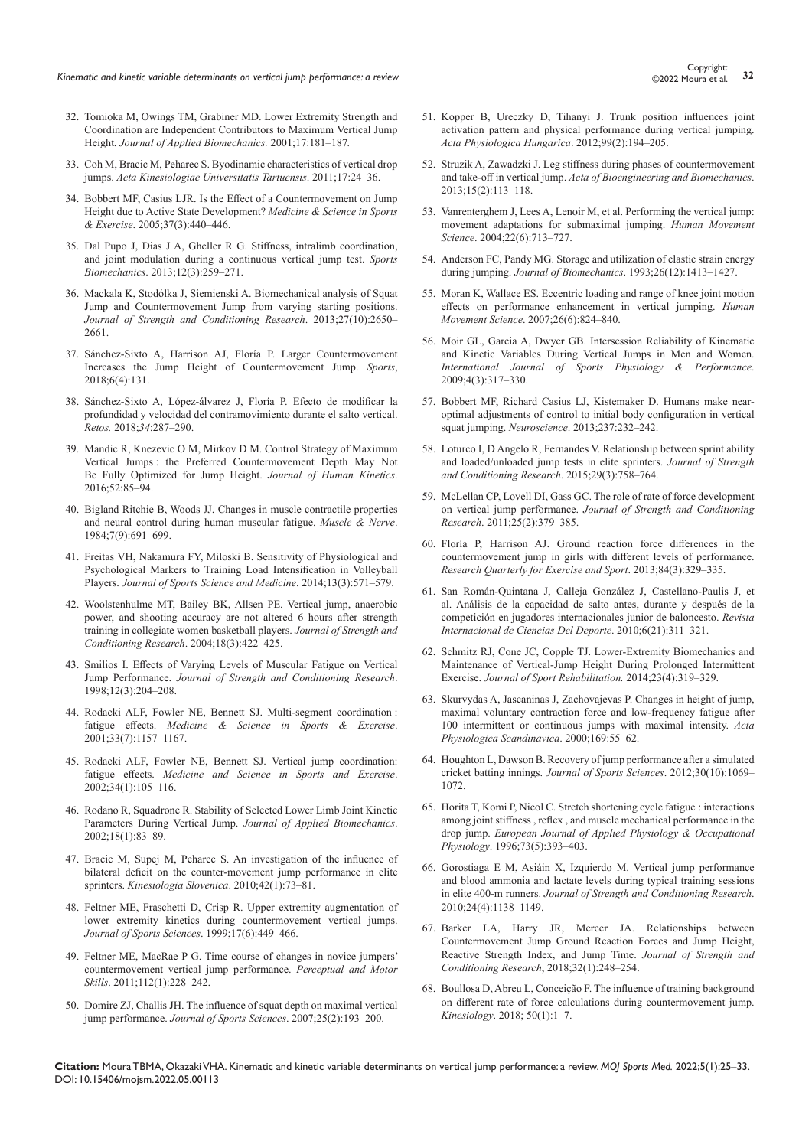- 32. Tomioka M, Owings TM, Grabiner MD. Lower Extremity Strength and Coordination are Independent Contributors to Maximum Vertical Jump Height*. Journal of Applied Biomechanics.* 2001;17:181–187*.*
- 33. [Coh M, Bracic M, Peharec S. Byodinamic characteristics of vertical drop](https://ojs.utlib.ee/index.php/AKUT/article/view/akut.2011.17.02)  jumps. *[Acta Kinesiologiae Universitatis Tartuensis](https://ojs.utlib.ee/index.php/AKUT/article/view/akut.2011.17.02)*. 2011;17:24–36.
- 34. [Bobbert MF, Casius LJR. Is the Effect of a Countermovement on Jump](https://pubmed.ncbi.nlm.nih.gov/15741843/)  [Height due to Active State Development?](https://pubmed.ncbi.nlm.nih.gov/15741843/) *Medicine & Science in Sports & Exercise*[. 2005;37\(3\):440–446.](https://pubmed.ncbi.nlm.nih.gov/15741843/)
- 35. [Dal Pupo J, Dias J A, Gheller R G. Stiffness, intralimb coordination,](https://pubmed.ncbi.nlm.nih.gov/24245051/)  [and joint modulation during a continuous vertical jump test.](https://pubmed.ncbi.nlm.nih.gov/24245051/) *Sports Biomechanics*. [2013;12\(3\):259–271.](https://pubmed.ncbi.nlm.nih.gov/24245051/)
- 36. [Mackala K, Stodólka J, Siemienski A. Biomechanical analysis of Squat](https://pubmed.ncbi.nlm.nih.gov/23552341/)  [Jump and Countermovement Jump from varying starting positions.](https://pubmed.ncbi.nlm.nih.gov/23552341/)  *[Journal of Strength and Conditioning Research](https://pubmed.ncbi.nlm.nih.gov/23552341/)*. 2013;27(10):2650– [2661.](https://pubmed.ncbi.nlm.nih.gov/23552341/)
- 37. [Sánchez-Sixto A, Harrison AJ, Floría P. Larger Countermovement](https://pubmed.ncbi.nlm.nih.gov/30373113/)  [Increases the Jump Height of Countermovement Jump.](https://pubmed.ncbi.nlm.nih.gov/30373113/) *Sports*, 2018;[6\(4\):131.](https://pubmed.ncbi.nlm.nih.gov/30373113/)
- 38. [Sánchez-Sixto A, López-álvarez J, Floría P. Efecto de modificar la](https://recyt.fecyt.es/index.php/retos/article/view/64854)  [profundidad y velocidad del contramovimiento durante el salto vertical.](https://recyt.fecyt.es/index.php/retos/article/view/64854)  *Retos.* 2018;*34*[:287–290.](https://recyt.fecyt.es/index.php/retos/article/view/64854)
- 39. [Mandic R, Knezevic O M, Mirkov D M. Control Strategy of Maximum](https://www.ncbi.nlm.nih.gov/pmc/articles/PMC5260520/)  Vertical Jumps [: the Preferred Countermovement Depth May Not](https://www.ncbi.nlm.nih.gov/pmc/articles/PMC5260520/)  [Be Fully Optimized for Jump Height.](https://www.ncbi.nlm.nih.gov/pmc/articles/PMC5260520/) *Journal of Human Kinetics*. [2016;52:85–94.](https://www.ncbi.nlm.nih.gov/pmc/articles/PMC5260520/)
- 40. [Bigland Ritchie B, Woods JJ. Changes in muscle contractile properties](https://pubmed.ncbi.nlm.nih.gov/6100456/)  [and neural control during human muscular fatigue.](https://pubmed.ncbi.nlm.nih.gov/6100456/) *Muscle & Nerve*. [1984;7\(9\):691–699.](https://pubmed.ncbi.nlm.nih.gov/6100456/)
- 41. [Freitas VH, Nakamura FY, Miloski B. Sensitivity of Physiological and](https://pubmed.ncbi.nlm.nih.gov/25177184/)  [Psychological Markers to Training Load Intensification in Volleyball](https://pubmed.ncbi.nlm.nih.gov/25177184/)  Players. *[Journal of Sports Science and Medicine](https://pubmed.ncbi.nlm.nih.gov/25177184/)*. 2014;13(3):571–579.
- 42. [Woolstenhulme MT, Bailey BK, Allsen PE. Vertical jump, anaerobic](https://pubmed.ncbi.nlm.nih.gov/15320641/)  [power, and shooting accuracy are not altered 6 hours after strength](https://pubmed.ncbi.nlm.nih.gov/15320641/)  [training in collegiate women basketball players.](https://pubmed.ncbi.nlm.nih.gov/15320641/) *Journal of Strength and [Conditioning Research](https://pubmed.ncbi.nlm.nih.gov/15320641/)*. 2004;18(3):422–425.
- 43. [Smilios I. Effects of Varying Levels of Muscular Fatigue on Vertical](https://pubmed.ncbi.nlm.nih.gov/30273290/)  Jump Performance. *[Journal of Strength and Conditioning Research](https://pubmed.ncbi.nlm.nih.gov/30273290/)*. [1998;12\(3\):204–208](https://pubmed.ncbi.nlm.nih.gov/30273290/).
- 44. [Rodacki ALF, Fowler NE, Bennett SJ. Multi-segment coordination](https://pubmed.ncbi.nlm.nih.gov/11445763/) : fatigue effects. *[Medicine & Science in Sports & Exercise](https://pubmed.ncbi.nlm.nih.gov/11445763/)*. [2001;33\(7\):1157–1167.](https://pubmed.ncbi.nlm.nih.gov/11445763/)
- 45. [Rodacki ALF, Fowler NE, Bennett SJ. Vertical jump coordination:](https://pubmed.ncbi.nlm.nih.gov/11782655/)  fatigue effects. *[Medicine and Science in Sports and Exercise](https://pubmed.ncbi.nlm.nih.gov/11782655/)*. [2002;34\(1\):105–116.](https://pubmed.ncbi.nlm.nih.gov/11782655/)
- 46. [Rodano R, Squadrone R. Stability of Selected Lower Limb Joint Kinetic](https://journals.humankinetics.com/view/journals/jab/18/1/article-p83.xml)  [Parameters During Vertical Jump.](https://journals.humankinetics.com/view/journals/jab/18/1/article-p83.xml) *Journal of Applied Biomechanics*. [2002;18\(1\):83–89.](https://journals.humankinetics.com/view/journals/jab/18/1/article-p83.xml)
- 47. [Bracic M, Supej M, Peharec S. An investigation of the influence of](https://hrcak.srce.hr/file/82645)  [bilateral deficit on the counter-movement jump performance in elite](https://hrcak.srce.hr/file/82645)  sprinters. *[Kinesiologia Slovenica](https://hrcak.srce.hr/file/82645)*. 2010;42(1):73–81.
- 48. [Feltner ME, Fraschetti D, Crisp R. Upper extremity augmentation of](https://pubmed.ncbi.nlm.nih.gov/10404494/)  [lower extremity kinetics during countermovement vertical jumps.](https://pubmed.ncbi.nlm.nih.gov/10404494/)  *[Journal of Sports Sciences](https://pubmed.ncbi.nlm.nih.gov/10404494/)*. 1999;17(6):449–466.
- 49. [Feltner ME, MacRae P G. Time course of changes in novice jumpers'](https://pubmed.ncbi.nlm.nih.gov/21466096/)  [countermovement vertical jump performance.](https://pubmed.ncbi.nlm.nih.gov/21466096/) *Perceptual and Motor Skills*. 2011;[112\(1\):228–242.](https://pubmed.ncbi.nlm.nih.gov/21466096/)
- 50. [Domire ZJ, Challis JH. The influence of squat depth on maximal vertical](https://pubmed.ncbi.nlm.nih.gov/17127594/)  jump performance. *[Journal of Sports Sciences](https://pubmed.ncbi.nlm.nih.gov/17127594/)*. 2007;25(2):193–200.
- 51. [Kopper B, Ureczky D, Tihanyi J. Trunk position influences joint](https://pubmed.ncbi.nlm.nih.gov/22849844/)  [activation pattern and physical performance during vertical jumping.](https://pubmed.ncbi.nlm.nih.gov/22849844/)  *[Acta Physiologica Hungarica](https://pubmed.ncbi.nlm.nih.gov/22849844/)*. 2012;99(2):194–205.
- 52. [Struzik A, Zawadzki J. Leg stiffness during phases of countermovement](https://doi.org/10.5277/abb130213)  and take-off in vertical jump. *[Acta of Bioengineering and Biomechanics](https://doi.org/10.5277/abb130213)*. [2013;15\(2\):113–118.](https://doi.org/10.5277/abb130213)
- 53. [Vanrenterghem J, Lees A, Lenoir M, et al. Performing the vertical jump:](https://doi.org/10.1016/j.humov.2003.11.001)  [movement adaptations for submaximal jumping.](https://doi.org/10.1016/j.humov.2003.11.001) *Human Movement Science*[. 2004;22\(6\):713–727.](https://doi.org/10.1016/j.humov.2003.11.001)
- 54. [Anderson FC, Pandy MG. Storage and utilization of elastic strain energy](https://pubmed.ncbi.nlm.nih.gov/8308046/)  during jumping. *Journal of Biomechanics*[. 1993;26\(12\):1413–1427.](https://pubmed.ncbi.nlm.nih.gov/8308046/)
- 55. [Moran K, Wallace ES. Eccentric loading and range of knee joint motion](https://pubmed.ncbi.nlm.nih.gov/17928080/)  [effects on performance enhancement in vertical jumping.](https://pubmed.ncbi.nlm.nih.gov/17928080/) *Human Movement Science*[. 2007;26\(6\):824–840.](https://pubmed.ncbi.nlm.nih.gov/17928080/)
- 56. [Moir GL, Garcia A, Dwyer GB. Intersession Reliability of Kinematic](https://pubmed.ncbi.nlm.nih.gov/19953820/)  [and Kinetic Variables During Vertical Jumps in Men and Women.](https://pubmed.ncbi.nlm.nih.gov/19953820/)  *[International Journal of Sports Physiology & Performance](https://pubmed.ncbi.nlm.nih.gov/19953820/)*. [2009;4\(3\):317–330.](https://pubmed.ncbi.nlm.nih.gov/19953820/)
- 57. [Bobbert MF, Richard Casius LJ, Kistemaker D. Humans make near](https://pubmed.ncbi.nlm.nih.gov/23384608/)[optimal adjustments of control to initial body configuration in vertical](https://pubmed.ncbi.nlm.nih.gov/23384608/)  [squat jumping.](https://pubmed.ncbi.nlm.nih.gov/23384608/) *Neuroscience*. 2013;237:232–242.
- 58. [Loturco I, D Angelo R, Fernandes V. Relationship between sprint ability](https://pubmed.ncbi.nlm.nih.gov/25162648/)  [and loaded/unloaded jump tests in elite sprinters.](https://pubmed.ncbi.nlm.nih.gov/25162648/) *Journal of Strength [and Conditioning Research](https://pubmed.ncbi.nlm.nih.gov/25162648/)*. 2015;29(3):758–764.
- 59. [McLellan CP, Lovell DI, Gass GC. The role of rate of force development](https://pubmed.ncbi.nlm.nih.gov/20093963/)  on vertical jump performance. *[Journal of Strength and Conditioning](https://pubmed.ncbi.nlm.nih.gov/20093963/)  Research*[. 2011;25\(2\):379–385.](https://pubmed.ncbi.nlm.nih.gov/20093963/)
- 60. [Floría P, Harrison AJ. Ground reaction force differences in the](https://pubmed.ncbi.nlm.nih.gov/24261012/)  [countermovement jump in girls with different levels of performance.](https://pubmed.ncbi.nlm.nih.gov/24261012/)  *[Research Quarterly for Exercise and Sport](https://pubmed.ncbi.nlm.nih.gov/24261012/)*. 2013;84(3):329–335.
- 61. [San Román-Quintana J, Calleja González J, Castellano-Paulis J, et](https://www.cafyd.com/REVISTA/02105.pdf)  [al. Análisis de la capacidad de salto antes, durante y después de la](https://www.cafyd.com/REVISTA/02105.pdf)  [competición en jugadores internacionales junior de baloncesto.](https://www.cafyd.com/REVISTA/02105.pdf) *Revista [Internacional de Ciencias Del Deporte](https://www.cafyd.com/REVISTA/02105.pdf)*. 2010;6(21):311–321.
- 62. [Schmitz RJ, Cone JC, Copple TJ. Lower-Extremity Biomechanics and](https://pubmed.ncbi.nlm.nih.gov/24307057/)  [Maintenance of Vertical-Jump Height During Prolonged Intermittent](https://pubmed.ncbi.nlm.nih.gov/24307057/)  Exercise. *[Journal of Sport Rehabilitation.](https://pubmed.ncbi.nlm.nih.gov/24307057/)* 2014;23(4):319–329.
- 63. [Skurvydas A, Jascaninas J, Zachovajevas P.](https://pubmed.ncbi.nlm.nih.gov/10759611/) Changes in height of jump, [maximal voluntary contraction force and low-frequency fatigue after](https://pubmed.ncbi.nlm.nih.gov/10759611/)  [100 intermittent or continuous jumps with maximal intensity.](https://pubmed.ncbi.nlm.nih.gov/10759611/) *Acta [Physiologica Scandinavica](https://pubmed.ncbi.nlm.nih.gov/10759611/)*. 2000;169:55–62.
- 64. [Houghton L, Dawson B. Recovery of jump performance after a simulated](https://pubmed.ncbi.nlm.nih.gov/22574810/)  cricket batting innings. *[Journal of Sports Sciences](https://pubmed.ncbi.nlm.nih.gov/22574810/)*. 2012;30(10):1069– [1072.](https://pubmed.ncbi.nlm.nih.gov/22574810/)
- 65. [Horita T, Komi P, Nicol C. Stretch shortening cycle fatigue](https://pubmed.ncbi.nlm.nih.gov/8803498/) : interactions [among joint stiffness , reflex , and muscle mechanical performance in the](https://pubmed.ncbi.nlm.nih.gov/8803498/)  drop jump. *[European Journal of Applied Physiology & Occupational](https://pubmed.ncbi.nlm.nih.gov/8803498/)  Physiology*[. 1996;73\(5\):393–403.](https://pubmed.ncbi.nlm.nih.gov/8803498/)
- 66. [Gorostiaga E M, Asiáin X, Izquierdo M. Vertical jump performance](https://pubmed.ncbi.nlm.nih.gov/20300013/)  [and blood ammonia and lactate levels during typical training sessions](https://pubmed.ncbi.nlm.nih.gov/20300013/)  in elite 400-m runners. *[Journal of Strength and Conditioning Research](https://pubmed.ncbi.nlm.nih.gov/20300013/)*. [2010;24\(4\):1138–1149.](https://pubmed.ncbi.nlm.nih.gov/20300013/)
- 67. [Barker LA, Harry JR, Mercer JA. Relationships between](https://pubmed.ncbi.nlm.nih.gov/28746248/)  [Countermovement Jump Ground Reaction Forces and Jump Height,](https://pubmed.ncbi.nlm.nih.gov/28746248/)  [Reactive Strength Index, and Jump Time.](https://pubmed.ncbi.nlm.nih.gov/28746248/) *Journal of Strength and [Conditioning Research](https://pubmed.ncbi.nlm.nih.gov/28746248/)*, 2018;32(1):248–254.
- 68. [Boullosa D, Abreu L, Conceição F. The influence of training background](https://hrcak.srce.hr/ojs/index.php/kinesiology/article/view/6439)  [on different rate of force calculations during countermovement jump.](https://hrcak.srce.hr/ojs/index.php/kinesiology/article/view/6439)  *Kinesiology*. [2018; 50\(1\):1–7.](https://hrcak.srce.hr/ojs/index.php/kinesiology/article/view/6439)